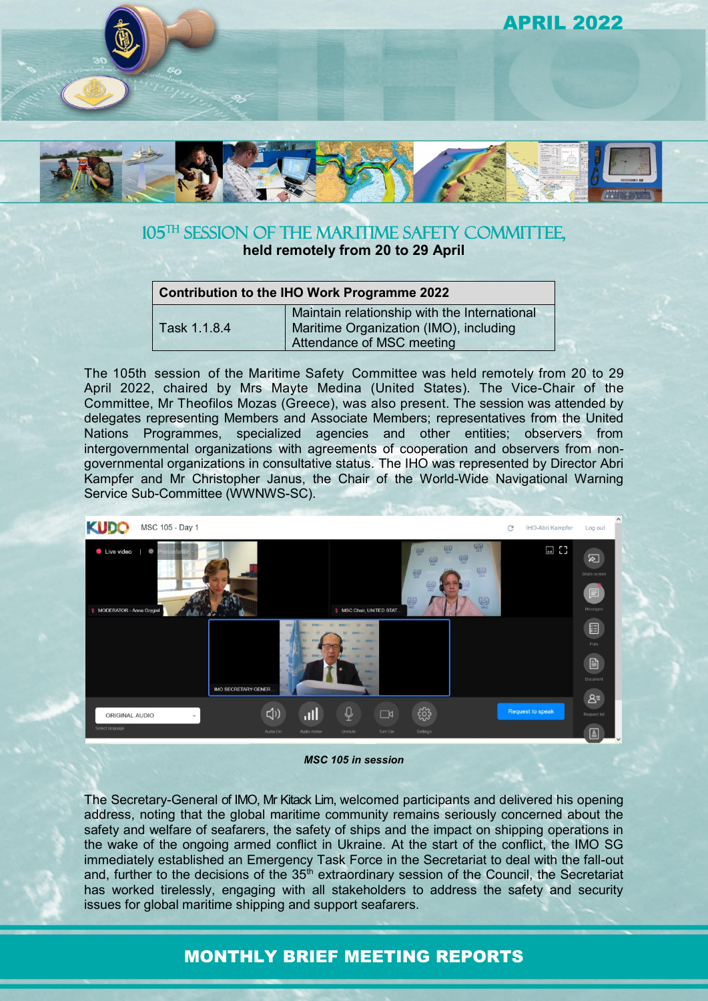

# 105<sup>TH</sup> SESSION OF THE MARITIME SAFETY COMMITTEE, **held remotely from 20 to 29 April**

| <b>Contribution to the IHO Work Programme 2022</b> |                                                                                                                     |
|----------------------------------------------------|---------------------------------------------------------------------------------------------------------------------|
| Task 1.1.8.4                                       | Maintain relationship with the International<br>Maritime Organization (IMO), including<br>Attendance of MSC meeting |

The 105th session of the Maritime Safety Committee was held remotely from 20 to 29 April 2022, chaired by Mrs Mayte Medina (United States). The Vice-Chair of the Committee, Mr Theofilos Mozas (Greece), was also present. The session was attended by delegates representing Members and Associate Members; representatives from the United Nations Programmes, specialized agencies and other entities; observers from intergovernmental organizations with agreements of cooperation and observers from nongovernmental organizations in consultative status. The IHO was represented by Director Abri Kampfer and Mr Christopher Janus, the Chair of the World-Wide Navigational Warning Service Sub-Committee (WWNWS-SC).



*MSC 105 in session*

The Secretary-General of IMO, Mr Kitack Lim, welcomed participants and delivered his opening address, noting that the global maritime community remains seriously concerned about the safety and welfare of seafarers, the safety of ships and the impact on shipping operations in the wake of the ongoing armed conflict in Ukraine. At the start of the conflict, the IMO SG immediately established an Emergency Task Force in the Secretariat to deal with the fall-out and, further to the decisions of the 35<sup>th</sup> extraordinary session of the Council, the Secretariat has worked tirelessly, engaging with all stakeholders to address the safety and security issues for global maritime shipping and support seafarers.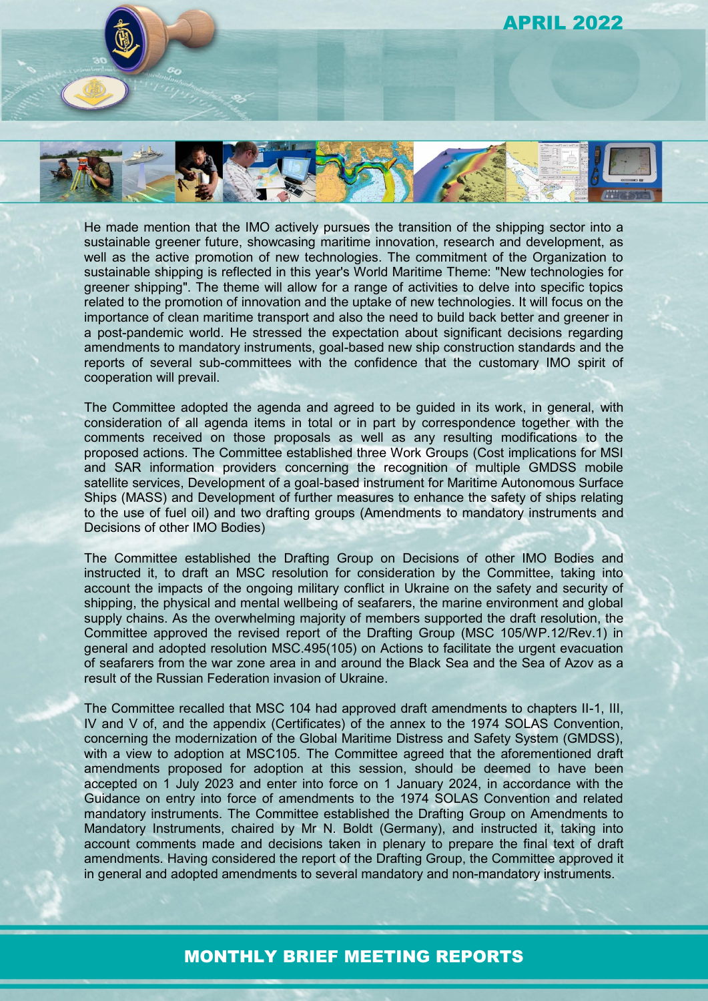# APRIL 2022



He made mention that the IMO actively pursues the transition of the shipping sector into a sustainable greener future, showcasing maritime innovation, research and development, as well as the active promotion of new technologies. The commitment of the Organization to sustainable shipping is reflected in this year's World Maritime Theme: "New technologies for greener shipping". The theme will allow for a range of activities to delve into specific topics related to the promotion of innovation and the uptake of new technologies. It will focus on the importance of clean maritime transport and also the need to build back better and greener in a post-pandemic world. He stressed the expectation about significant decisions regarding amendments to mandatory instruments, goal-based new ship construction standards and the reports of several sub-committees with the confidence that the customary IMO spirit of cooperation will prevail.

The Committee adopted the agenda and agreed to be guided in its work, in general, with consideration of all agenda items in total or in part by correspondence together with the comments received on those proposals as well as any resulting modifications to the proposed actions. The Committee established three Work Groups (Cost implications for MSI and SAR information providers concerning the recognition of multiple GMDSS mobile satellite services, Development of a goal-based instrument for Maritime Autonomous Surface Ships (MASS) and Development of further measures to enhance the safety of ships relating to the use of fuel oil) and two drafting groups (Amendments to mandatory instruments and Decisions of other IMO Bodies)

The Committee established the Drafting Group on Decisions of other IMO Bodies and instructed it, to draft an MSC resolution for consideration by the Committee, taking into account the impacts of the ongoing military conflict in Ukraine on the safety and security of shipping, the physical and mental wellbeing of seafarers, the marine environment and global supply chains. As the overwhelming majority of members supported the draft resolution, the Committee approved the revised report of the Drafting Group (MSC 105/WP.12/Rev.1) in general and adopted resolution MSC.495(105) on Actions to facilitate the urgent evacuation of seafarers from the war zone area in and around the Black Sea and the Sea of Azov as a result of the Russian Federation invasion of Ukraine.

The Committee recalled that MSC 104 had approved draft amendments to chapters II-1, III, IV and V of, and the appendix (Certificates) of the annex to the 1974 SOLAS Convention, concerning the modernization of the Global Maritime Distress and Safety System (GMDSS), with a view to adoption at MSC105. The Committee agreed that the aforementioned draft amendments proposed for adoption at this session, should be deemed to have been accepted on 1 July 2023 and enter into force on 1 January 2024, in accordance with the Guidance on entry into force of amendments to the 1974 SOLAS Convention and related mandatory instruments. The Committee established the Drafting Group on Amendments to Mandatory Instruments, chaired by Mr N. Boldt (Germany), and instructed it, taking into account comments made and decisions taken in plenary to prepare the final text of draft amendments. Having considered the report of the Drafting Group, the Committee approved it in general and adopted amendments to several mandatory and non-mandatory instruments.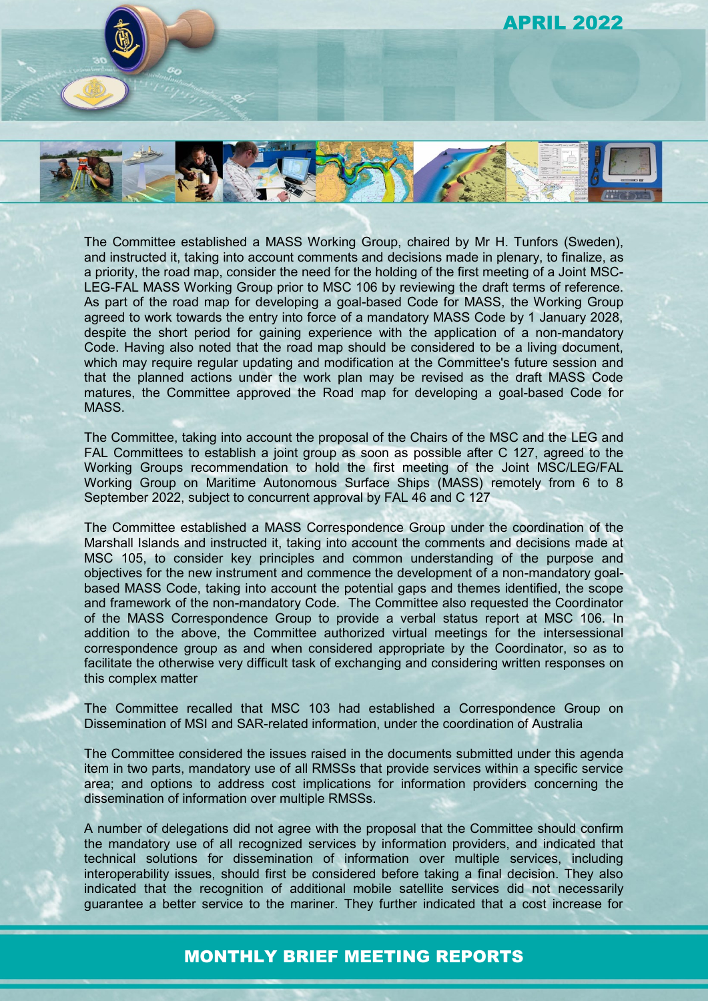

The Committee established a MASS Working Group, chaired by Mr H. Tunfors (Sweden), and instructed it, taking into account comments and decisions made in plenary, to finalize, as a priority, the road map, consider the need for the holding of the first meeting of a Joint MSC-LEG-FAL MASS Working Group prior to MSC 106 by reviewing the draft terms of reference. As part of the road map for developing a goal-based Code for MASS, the Working Group agreed to work towards the entry into force of a mandatory MASS Code by 1 January 2028, despite the short period for gaining experience with the application of a non-mandatory Code. Having also noted that the road map should be considered to be a living document, which may require regular updating and modification at the Committee's future session and that the planned actions under the work plan may be revised as the draft MASS Code matures, the Committee approved the Road map for developing a goal-based Code for MASS.

The Committee, taking into account the proposal of the Chairs of the MSC and the LEG and FAL Committees to establish a joint group as soon as possible after C 127, agreed to the Working Groups recommendation to hold the first meeting of the Joint MSC/LEG/FAL Working Group on Maritime Autonomous Surface Ships (MASS) remotely from 6 to 8 September 2022, subject to concurrent approval by FAL 46 and C 127

The Committee established a MASS Correspondence Group under the coordination of the Marshall Islands and instructed it, taking into account the comments and decisions made at MSC 105, to consider key principles and common understanding of the purpose and objectives for the new instrument and commence the development of a non-mandatory goalbased MASS Code, taking into account the potential gaps and themes identified, the scope and framework of the non-mandatory Code. The Committee also requested the Coordinator of the MASS Correspondence Group to provide a verbal status report at MSC 106. In addition to the above, the Committee authorized virtual meetings for the intersessional correspondence group as and when considered appropriate by the Coordinator, so as to facilitate the otherwise very difficult task of exchanging and considering written responses on this complex matter

The Committee recalled that MSC 103 had established a Correspondence Group on Dissemination of MSI and SAR-related information, under the coordination of Australia

The Committee considered the issues raised in the documents submitted under this agenda item in two parts, mandatory use of all RMSSs that provide services within a specific service area; and options to address cost implications for information providers concerning the dissemination of information over multiple RMSSs.

A number of delegations did not agree with the proposal that the Committee should confirm the mandatory use of all recognized services by information providers, and indicated that technical solutions for dissemination of information over multiple services, including interoperability issues, should first be considered before taking a final decision. They also indicated that the recognition of additional mobile satellite services did not necessarily guarantee a better service to the mariner. They further indicated that a cost increase for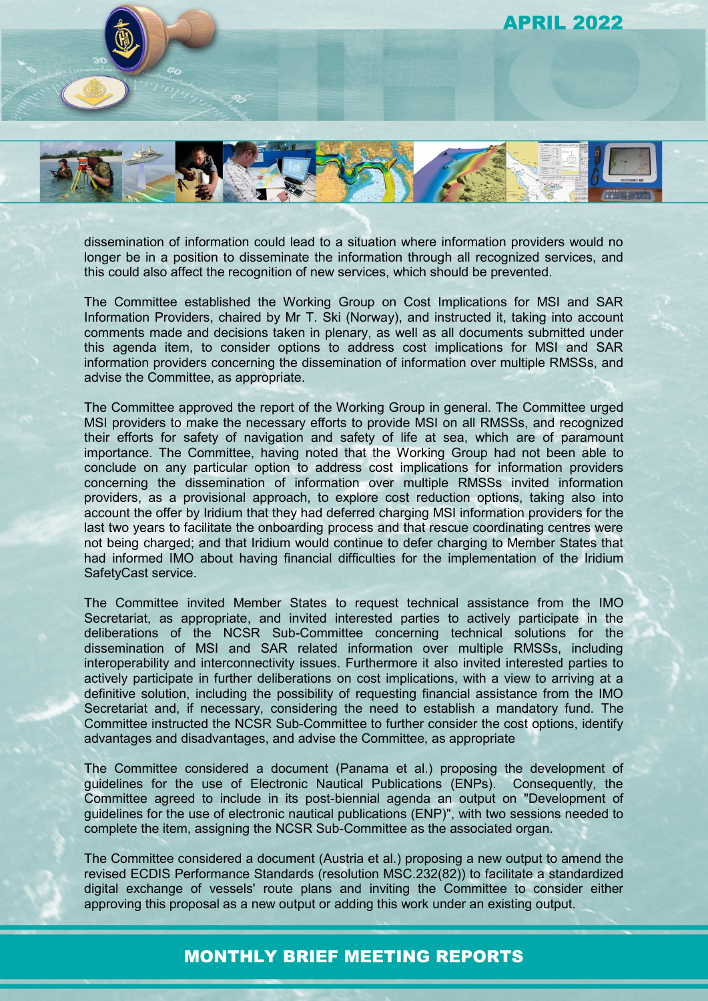APRIL 2022



dissemination of information could lead to a situation where information providers would no longer be in a position to disseminate the information through all recognized services, and this could also affect the recognition of new services, which should be prevented.

The Committee established the Working Group on Cost Implications for MSI and SAR Information Providers, chaired by Mr T. Ski (Norway), and instructed it, taking into account comments made and decisions taken in plenary, as well as all documents submitted under this agenda item, to consider options to address cost implications for MSI and SAR information providers concerning the dissemination of information over multiple RMSSs, and advise the Committee, as appropriate.

The Committee approved the report of the Working Group in general. The Committee urged MSI providers to make the necessary efforts to provide MSI on all RMSSs, and recognized their efforts for safety of navigation and safety of life at sea, which are of paramount importance. The Committee, having noted that the Working Group had not been able to conclude on any particular option to address cost implications for information providers concerning the dissemination of information over multiple RMSSs invited information providers, as a provisional approach, to explore cost reduction options, taking also into account the offer by Iridium that they had deferred charging MSI information providers for the last two years to facilitate the onboarding process and that rescue coordinating centres were not being charged; and that Iridium would continue to defer charging to Member States that had informed IMO about having financial difficulties for the implementation of the Iridium SafetyCast service.

The Committee invited Member States to request technical assistance from the IMO Secretariat, as appropriate, and invited interested parties to actively participate in the deliberations of the NCSR Sub-Committee concerning technical solutions for the dissemination of MSI and SAR related information over multiple RMSSs, including interoperability and interconnectivity issues. Furthermore it also invited interested parties to actively participate in further deliberations on cost implications, with a view to arriving at a definitive solution, including the possibility of requesting financial assistance from the IMO Secretariat and, if necessary, considering the need to establish a mandatory fund. The Committee instructed the NCSR Sub-Committee to further consider the cost options, identify advantages and disadvantages, and advise the Committee, as appropriate

The Committee considered a document (Panama et al.) proposing the development of guidelines for the use of Electronic Nautical Publications (ENPs). Consequently, the Committee agreed to include in its post-biennial agenda an output on "Development of guidelines for the use of electronic nautical publications (ENP)", with two sessions needed to complete the item, assigning the NCSR Sub-Committee as the associated organ.

The Committee considered a document (Austria et al.) proposing a new output to amend the revised ECDIS Performance Standards (resolution MSC.232(82)) to facilitate a standardized digital exchange of vesselsʹ route plans and inviting the Committee to consider either approving this proposal as a new output or adding this work under an existing output.